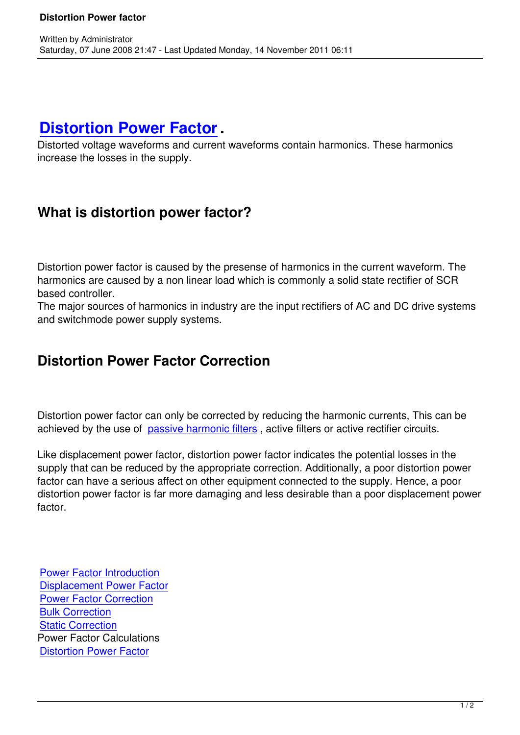## **Distortion Power Factor.**

Written by Administrator and Administrator and Administrator and Administrator and Administrator and Administrator and Administrator and Administrator and Administrator and Administrator and Administrator and Administrator

Distorted voltage waveforms and current waveforms contain harmonics. These harmonics increase the losses in the supply.

## **What is distortion power factor?**

Distortion power factor is caused by the presense of harmonics in the current waveform. The harmonics are caused by a non linear load which is commonly a solid state rectifier of SCR based controller.

The major sources of harmonics in industry are the input rectifiers of AC and DC drive systems and switchmode power supply systems.

## **Distortion Power Factor Correction**

Distortion power factor can only be corrected by reducing the harmonic currents, This can be achieved by the use of passive harmonic filters, active filters or active rectifier circuits.

Like displacement power factor, distortion power factor indicates the potential losses in the supply that can be redu[ced by the appropriate c](http://www.harmonic-filter.co.nz)orrection. Additionally, a poor distortion power factor can have a serious affect on other equipment connected to the supply. Hence, a poor distortion power factor is far more damaging and less desirable than a poor displacement power factor.

Power Factor Introduction Displacement Power Factor Power Factor Correction [Bulk Correction](motor-control/power-factor/power-factor-introduction) **[Static Correction](motor-control/power-factor/34-power-factor/46-displacement-power-factor)** [Power Factor Calculation](motor-control/power-factor/power-factor-correction)s [Distortion Powe](motor-control/power-factor/bulk-pfc)r Factor